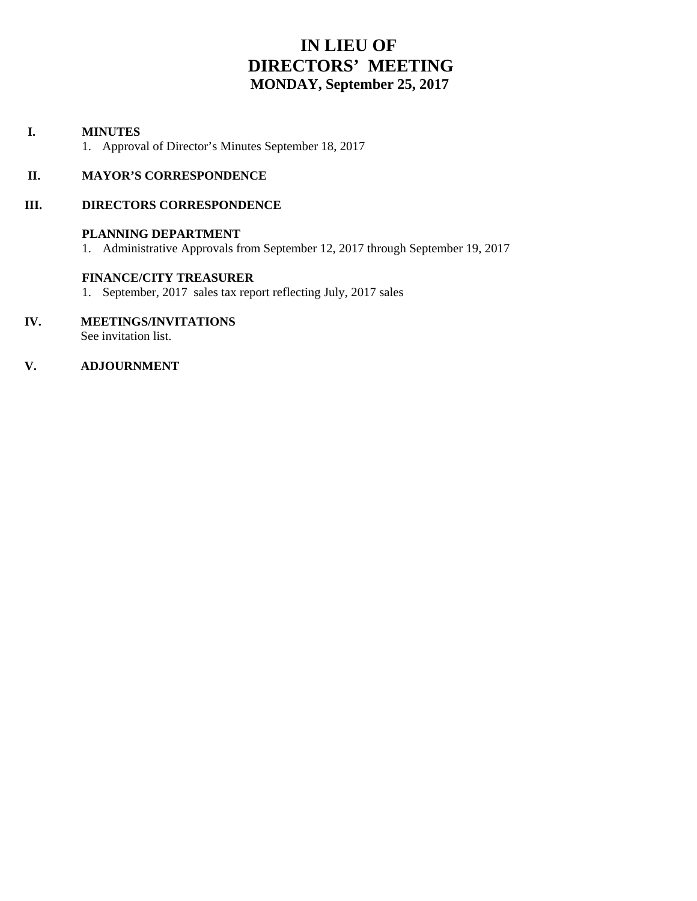# **IN LIEU OF DIRECTORS' MEETING MONDAY, September 25, 2017**

#### **I. MINUTES**

1. Approval of Director's Minutes September 18, 2017

#### **II. MAYOR'S CORRESPONDENCE**

#### **III. DIRECTORS CORRESPONDENCE**

#### **PLANNING DEPARTMENT**

1. Administrative Approvals from September 12, 2017 through September 19, 2017

#### **FINANCE/CITY TREASURER**

- 1. September, 2017 sales tax report reflecting July, 2017 sales
- **IV. MEETINGS/INVITATIONS** See invitation list.

#### **V. ADJOURNMENT**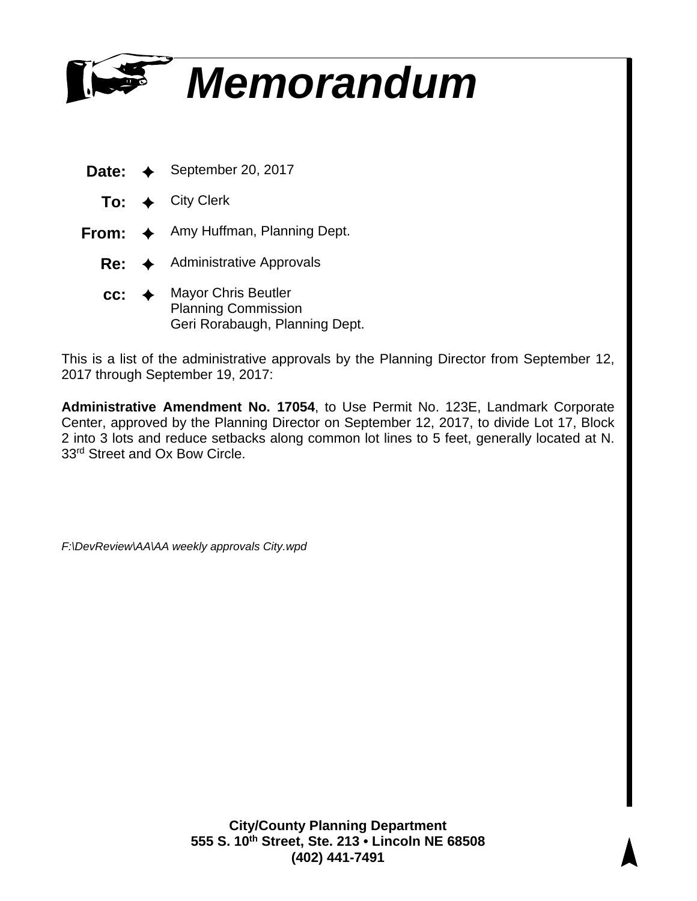

- **Date:** ✦ September 20, 2017
	- **To:** ✦ City Clerk
- **From:** ✦ Amy Huffman, Planning Dept.
	- **Re:** ✦ Administrative Approvals
	- **cc:** ✦ Mayor Chris Beutler Planning Commission Geri Rorabaugh, Planning Dept.

This is a list of the administrative approvals by the Planning Director from September 12, 2017 through September 19, 2017:

**Administrative Amendment No. 17054**, to Use Permit No. 123E, Landmark Corporate Center, approved by the Planning Director on September 12, 2017, to divide Lot 17, Block 2 into 3 lots and reduce setbacks along common lot lines to 5 feet, generally located at N. 33<sup>rd</sup> Street and Ox Bow Circle.

*F:\DevReview\AA\AA weekly approvals City.wpd*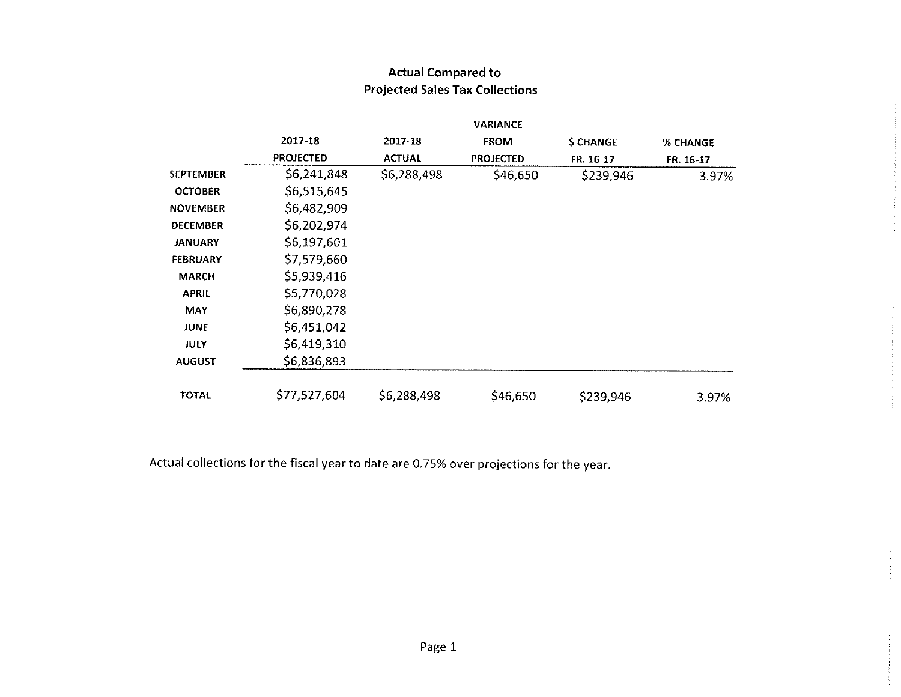|                  |                  |               | <b>VARIANCE</b>  |           |           |
|------------------|------------------|---------------|------------------|-----------|-----------|
|                  | 2017-18          | 2017-18       | <b>FROM</b>      | \$ CHANGE | % CHANGE  |
|                  | <b>PROJECTED</b> | <b>ACTUAL</b> | <b>PROJECTED</b> | FR. 16-17 | FR. 16-17 |
| <b>SEPTEMBER</b> | \$6,241,848      | \$6,288,498   | \$46,650         | \$239,946 | 3.97%     |
| <b>OCTOBER</b>   | \$6,515,645      |               |                  |           |           |
| <b>NOVEMBER</b>  | \$6,482,909      |               |                  |           |           |
| <b>DECEMBER</b>  | \$6,202,974      |               |                  |           |           |
| <b>JANUARY</b>   | \$6,197,601      |               |                  |           |           |
| <b>FEBRUARY</b>  | \$7,579,660      |               |                  |           |           |
| <b>MARCH</b>     | \$5,939,416      |               |                  |           |           |
| <b>APRIL</b>     | \$5,770,028      |               |                  |           |           |
| <b>MAY</b>       | \$6,890,278      |               |                  |           |           |
| <b>JUNE</b>      | \$6,451,042      |               |                  |           |           |
| JULY             | \$6,419,310      |               |                  |           |           |
| <b>AUGUST</b>    | \$6,836,893      |               |                  |           |           |
| <b>TOTAL</b>     | \$77,527,604     | \$6,288,498   | \$46,650         | \$239,946 | 3.97%     |

## **Actual Compared to Projected Sales Tax Collections**

Actual collections for the fiscal year to date are 0.75% over projections for the year.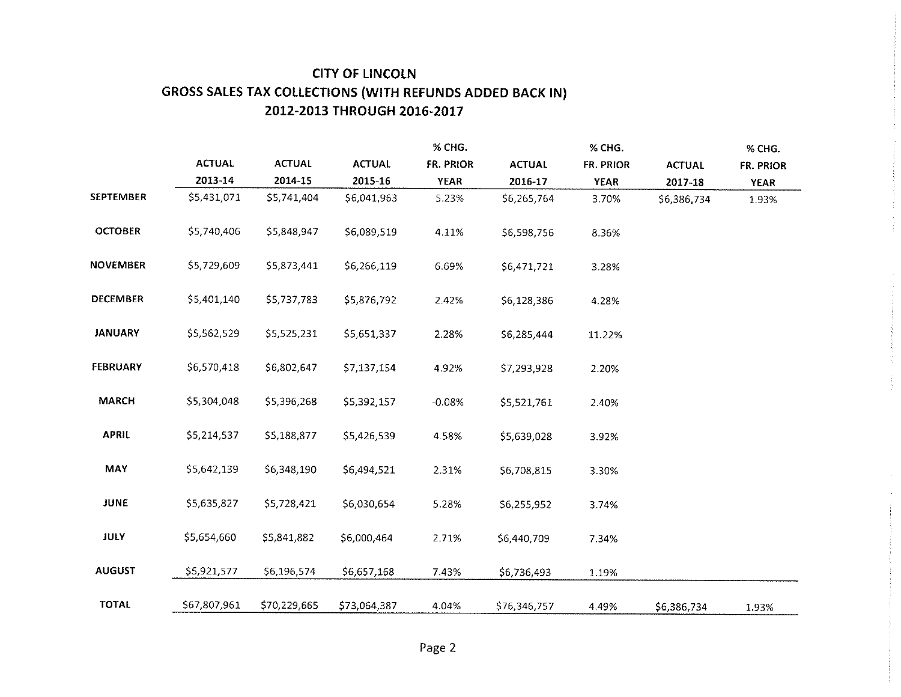## **CITY OF LINCOLN** GROSS SALES TAX COLLECTIONS (WITH REFUNDS ADDED BACK IN) 2012-2013 THROUGH 2016-2017

|                  |               |               |               | % CHG.      |               | % CHG.      |               | % CHG.      |
|------------------|---------------|---------------|---------------|-------------|---------------|-------------|---------------|-------------|
|                  | <b>ACTUAL</b> | <b>ACTUAL</b> | <b>ACTUAL</b> | FR. PRIOR   | <b>ACTUAL</b> | FR. PRIOR   | <b>ACTUAL</b> | FR. PRIOR   |
|                  | 2013-14       | 2014-15       | 2015-16       | <b>YEAR</b> | 2016-17       | <b>YFAR</b> | 2017-18       | <b>YEAR</b> |
| <b>SEPTEMBER</b> | \$5,431,071   | \$5,741,404   | \$6,041,963   | 5.23%       | \$6,265,764   | 3.70%       | \$6,386,734   | 1.93%       |
| <b>OCTOBER</b>   | \$5,740,406   | \$5,848,947   | \$6,089,519   | 4.11%       | \$6,598,756   | 8.36%       |               |             |
| <b>NOVEMBER</b>  | \$5,729,609   | \$5,873,441   | \$6,266,119   | 6.69%       | \$6,471,721   | 3.28%       |               |             |
| <b>DECEMBER</b>  | \$5,401,140   | \$5,737,783   | \$5,876,792   | 2.42%       | \$6,128,386   | 4.28%       |               |             |
| <b>JANUARY</b>   | \$5,562,529   | \$5,525,231   | \$5,651,337   | 2.28%       | \$6,285,444   | 11.22%      |               |             |
| <b>FEBRUARY</b>  | \$6,570,418   | \$6,802,647   | \$7,137,154   | 4.92%       | \$7,293,928   | 2.20%       |               |             |
| <b>MARCH</b>     | \$5,304,048   | \$5,396,268   | \$5,392,157   | $-0.08%$    | \$5,521,761   | 2.40%       |               |             |
| <b>APRIL</b>     | \$5,214,537   | \$5,188,877   | \$5,426,539   | 4.58%       | \$5,639,028   | 3.92%       |               |             |
| MAY              | \$5,642,139   | \$6,348,190   | \$6,494,521   | 2.31%       | \$6,708,815   | 3.30%       |               |             |
| <b>JUNE</b>      | \$5,635,827   | \$5,728,421   | \$6,030,654   | 5.28%       | \$6,255,952   | 3.74%       |               |             |
| <b>JULY</b>      | \$5,654,660   | \$5,841,882   | \$6,000,464   | 2.71%       | \$6,440,709   | 7.34%       |               |             |
| <b>AUGUST</b>    | \$5,921,577   | \$6,196,574   | \$6,657,168   | 7.43%       | \$6,736,493   | 1.19%       |               |             |
| <b>TOTAL</b>     | \$67,807,961  | \$70,229,665  | \$73,064,387  | 4.04%       | \$76,346,757  | 4.49%       | \$6,386,734   | 1.93%       |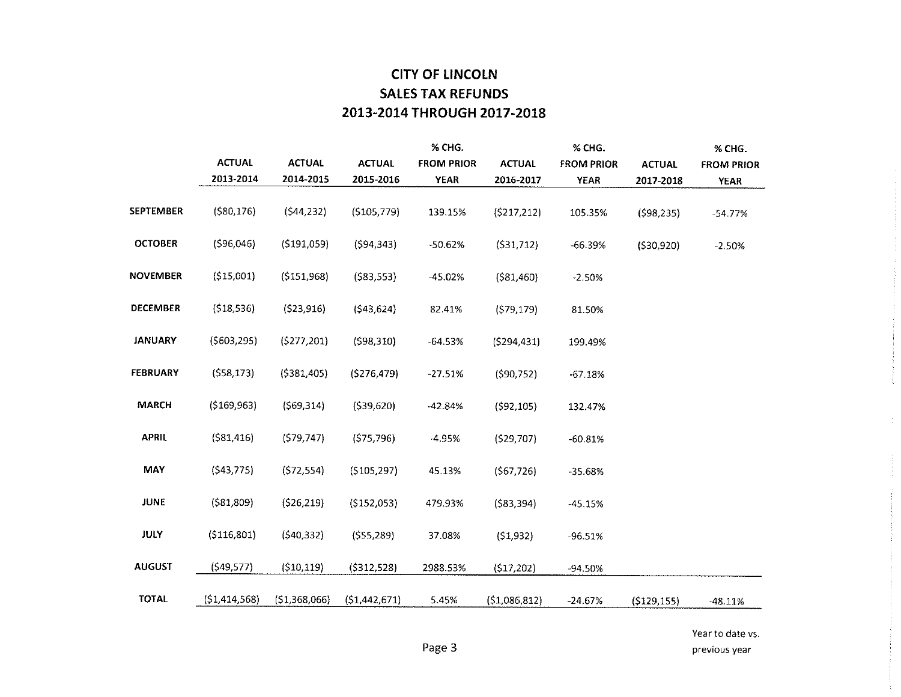## **CITY OF LINCOLN SALES TAX REFUNDS** 2013-2014 THROUGH 2017-2018

|                  |                |               |                | % CHG.            |               | % CHG.            |               | % CHG.            |
|------------------|----------------|---------------|----------------|-------------------|---------------|-------------------|---------------|-------------------|
|                  | <b>ACTUAL</b>  | <b>ACTUAL</b> | <b>ACTUAL</b>  | <b>FROM PRIOR</b> | <b>ACTUAL</b> | <b>FROM PRIOR</b> | <b>ACTUAL</b> | <b>FROM PRIOR</b> |
|                  | 2013-2014      | 2014-2015     | 2015-2016      | <b>YEAR</b>       | 2016-2017     | <b>YEAR</b>       | 2017-2018     | <b>YEAR</b>       |
|                  |                |               |                |                   |               |                   |               |                   |
| <b>SEPTEMBER</b> | (580, 176)     | (544, 232)    | (5105, 779)    | 139.15%           | (5217, 212)   | 105.35%           | (598, 235)    | -54 77%           |
|                  |                |               |                |                   |               |                   |               |                   |
| <b>OCTOBER</b>   | (596,046)      | (5191,059)    | (594, 343)     | $-50.62%$         | (531, 712)    | $-66.39%$         | (530,920)     | $-2.50%$          |
|                  |                |               |                |                   |               |                   |               |                   |
| <b>NOVEMBER</b>  | (515,001)      | (5151, 968)   | (583, 553)     | $-45.02%$         | (581,460)     | $-2.50%$          |               |                   |
|                  |                |               |                |                   |               |                   |               |                   |
| <b>DECEMBER</b>  | (518, 536)     | (523, 916)    | (543, 624)     | 82.41%            | (579, 179)    | 81.50%            |               |                   |
| <b>JANUARY</b>   |                |               |                |                   |               |                   |               |                   |
|                  | (5603, 295)    | (5277, 201)   | (598, 310)     | $-64.53%$         | (5294, 431)   | 199.49%           |               |                   |
| <b>FEBRUARY</b>  | (558, 173)     | (5381, 405)   | (276, 479)     | $-27.51%$         | (590, 752)    | $-67.18%$         |               |                   |
|                  |                |               |                |                   |               |                   |               |                   |
| <b>MARCH</b>     | (5169, 963)    | (S69, 314)    | (539, 620)     | $-42.84%$         | (592, 105)    | 132.47%           |               |                   |
|                  |                |               |                |                   |               |                   |               |                   |
| <b>APRIL</b>     | (581, 416)     | (579, 747)    | (575, 796)     | -4.95%            | (529,707)     | $-60.81%$         |               |                   |
|                  |                |               |                |                   |               |                   |               |                   |
| MAY              | (543, 775)     | (572, 554)    | ( \$105, 297)  | 45.13%            | (567, 726)    | $-35.68%$         |               |                   |
|                  |                |               |                |                   |               |                   |               |                   |
| <b>JUNE</b>      | (581, 809)     | (526, 219)    | (5152,053)     | 479.93%           | (583, 394)    | $-45.15%$         |               |                   |
|                  |                |               |                |                   |               |                   |               |                   |
| <b>JULY</b>      | (5116,801)     | (540, 332)    | (555, 289)     | 37.08%            | (51, 932)     | $-96.51%$         |               |                   |
| <b>AUGUST</b>    | (549, 577)     | (510, 119)    | (5312, 528)    | 2988.53%          |               |                   |               |                   |
|                  |                |               |                |                   | (517,202)     | -94.50%           |               |                   |
| <b>TOTAL</b>     | (51, 414, 568) | (51,368,066)  | (51, 442, 671) | 5.45%             | (51,086,812)  | $-24.67%$         | (5129, 155)   | $-48.11%$         |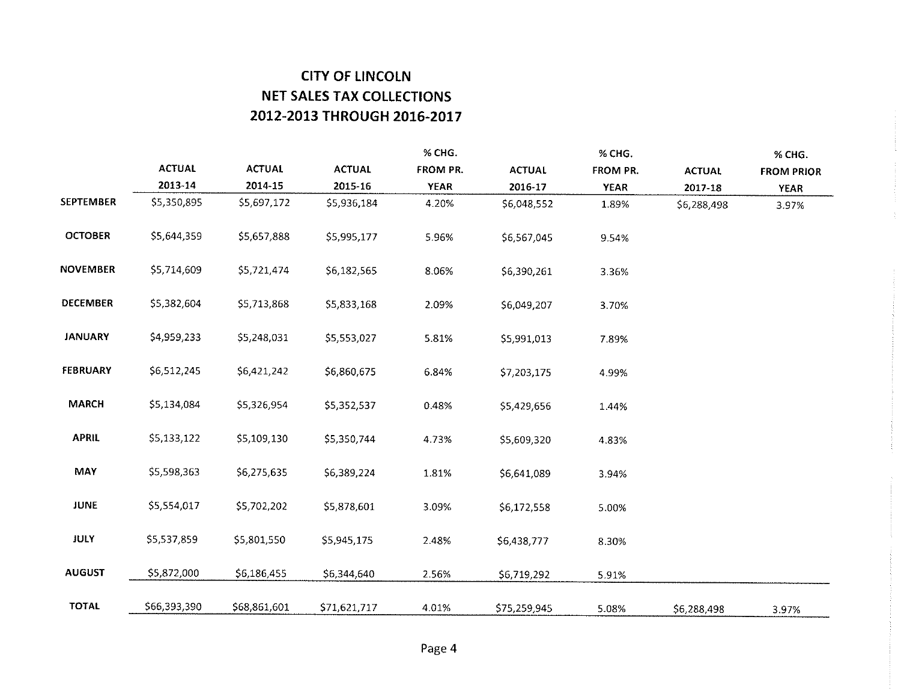## **CITY OF LINCOLN NET SALES TAX COLLECTIONS** 2012-2013 THROUGH 2016-2017

|                  |               |               |               | % CHG.      |               | % CHG.      |               | % CHG.            |
|------------------|---------------|---------------|---------------|-------------|---------------|-------------|---------------|-------------------|
|                  | <b>ACTUAL</b> | <b>ACTUAL</b> | <b>ACTUAL</b> | FROM PR.    | <b>ACTUAL</b> | FROM PR.    | <b>ACTUAL</b> | <b>FROM PRIOR</b> |
|                  | 2013-14       | 2014-15       | 2015-16       | <b>YEAR</b> | 2016-17       | <b>YEAR</b> | 2017-18       | <b>YEAR</b>       |
| <b>SEPTEMBER</b> | \$5,350,895   | \$5,697,172   | \$5,936,184   | 4.20%       | \$6,048,552   | 1.89%       | \$6,288,498   | 3.97%             |
| <b>OCTOBER</b>   | \$5,644,359   | \$5,657,888   | \$5,995,177   | 5.96%       | \$6,567,045   | 9.54%       |               |                   |
| <b>NOVEMBER</b>  | \$5,714,609   | \$5,721,474   | \$6,182,565   | 8.06%       | \$6,390,261   | 3.36%       |               |                   |
| <b>DECEMBER</b>  | 55,382,604    | \$5,713,868   | \$5,833,168   | 2.09%       | \$6,049,207   | 3.70%       |               |                   |
| <b>JANUARY</b>   | \$4,959,233   | \$5,248,031   | \$5,553,027   | 5.81%       | \$5,991,013   | 7.89%       |               |                   |
| <b>FEBRUARY</b>  | \$6,512,245   | \$6,421,242   | \$6,860,675   | 6.84%       | \$7,203,175   | 4.99%       |               |                   |
| <b>MARCH</b>     | \$5,134,084   | \$5,326,954   | \$5,352,537   | 0.48%       | \$5,429,656   | 1.44%       |               |                   |
| <b>APRIL</b>     | \$5,133,122   | \$5,109,130   | \$5,350,744   | 4 7 3%      | \$5,609,320   | 4.83%       |               |                   |
| <b>MAY</b>       | \$5,598,363   | \$6,275,635   | \$6,389,224   | 1.81%       | \$6,641,089   | 3.94%       |               |                   |
| <b>JUNE</b>      | \$5,554,017   | \$5,702,202   | \$5,878,601   | 3.09%       | 56,172,558    | 5.00%       |               |                   |
| <b>JULY</b>      | \$5,537,859   | \$5,801,550   | \$5,945,175   | 2.48%       | \$6,438,777   | 8.30%       |               |                   |
| <b>AUGUST</b>    | \$5,872,000   | \$6,186,455   | \$6,344,640   | 2.56%       | \$6,719,292   | 5.91%       |               |                   |
| <b>TOTAL</b>     | \$66,393,390  | \$68,861,601  | \$71,621,717  | 4.01%       | \$75,259,945  | 5.08%       | \$6,288,498   | 3.97%             |

 $\frac{1}{2}$